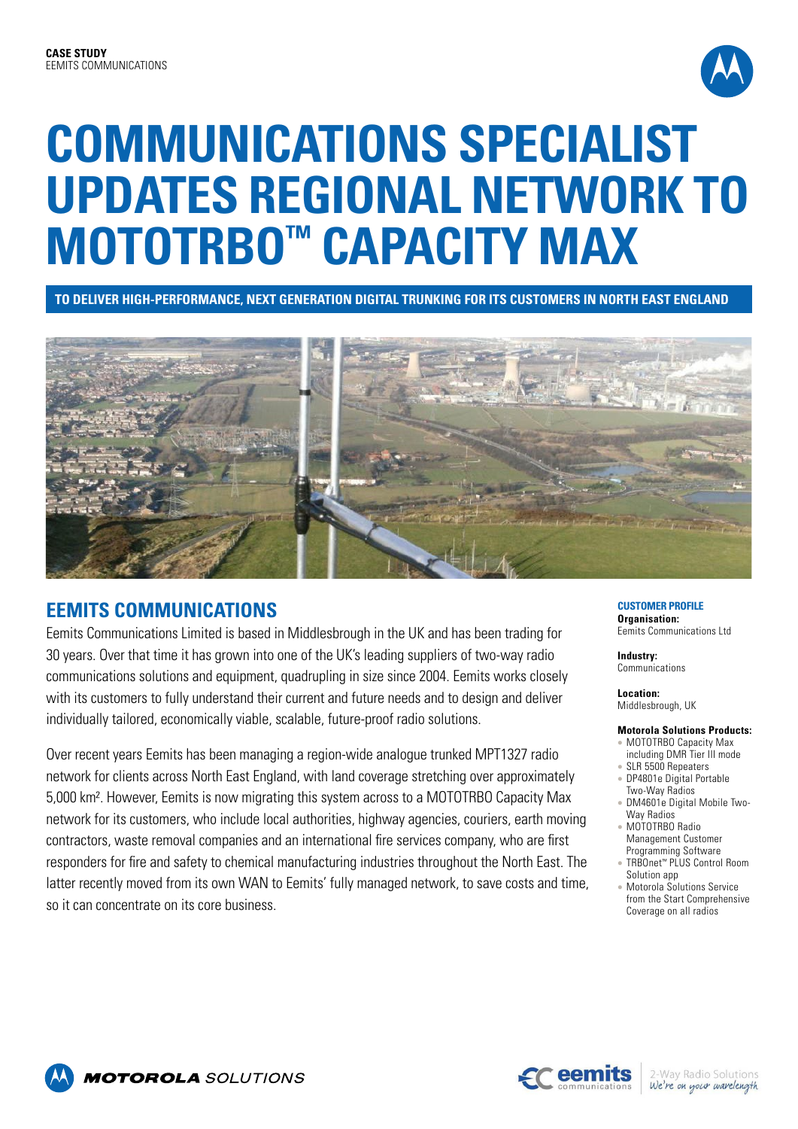

# **COMMUNICATIONS SPECIALIST UPDATES REGIONAL NETWORK TO MOTOTRBO™ CAPACITY MAX**

**TO DELIVER HIGH-PERFORMANCE, NEXT GENERATION DIGITAL TRUNKING FOR ITS CUSTOMERS IN NORTH EAST ENGLAND**



## **EEMITS COMMUNICATIONS**

Eemits Communications Limited is based in Middlesbrough in the UK and has been trading for 30 years. Over that time it has grown into one of the UK's leading suppliers of two-way radio communications solutions and equipment, quadrupling in size since 2004. Eemits works closely with its customers to fully understand their current and future needs and to design and deliver individually tailored, economically viable, scalable, future-proof radio solutions.

Over recent years Eemits has been managing a region-wide analogue trunked MPT1327 radio network for clients across North East England, with land coverage stretching over approximately 5,000 km². However, Eemits is now migrating this system across to a MOTOTRBO Capacity Max network for its customers, who include local authorities, highway agencies, couriers, earth moving contractors, waste removal companies and an international fire services company, who are first responders for fire and safety to chemical manufacturing industries throughout the North East. The latter recently moved from its own WAN to Eemits' fully managed network, to save costs and time, so it can concentrate on its core business.

#### **CUSTOMER PROFILE Organisation:**

Eemits Communications Ltd

**Industry:** Communications

**Location:** Middlesbrough, UK

### **Motorola Solutions Products:**

- MOTOTRBO Capacity Max including DMR Tier III mode
- SLR 5500 Repeaters
- DP4801e Digital Portable Two-Way Radios
- DM4601e Digital Mobile Two-Way Radios
- MOTOTRBO Radio Management Customer Programming Software
- <sup>l</sup> TRBOnet™ PLUS Control Room Solution app
- Motorola Solutions Service from the Start Comprehensive Coverage on all radios